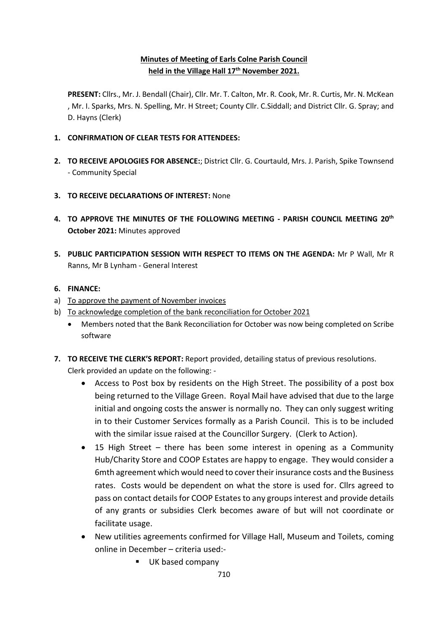# **Minutes of Meeting of Earls Colne Parish Council held in the Village Hall 17th November 2021.**

**PRESENT:** Cllrs., Mr. J. Bendall (Chair), Cllr. Mr. T. Calton, Mr. R. Cook, Mr. R. Curtis, Mr. N. McKean , Mr. I. Sparks, Mrs. N. Spelling, Mr. H Street; County Cllr. C.Siddall; and District Cllr. G. Spray; and D. Hayns (Clerk)

- **1. CONFIRMATION OF CLEAR TESTS FOR ATTENDEES:**
- **2. TO RECEIVE APOLOGIES FOR ABSENCE:**; District Cllr. G. Courtauld, Mrs. J. Parish, Spike Townsend - Community Special
- **3. TO RECEIVE DECLARATIONS OF INTEREST:** None
- **4. TO APPROVE THE MINUTES OF THE FOLLOWING MEETING - PARISH COUNCIL MEETING 20th October 2021:** Minutes approved
- **5. PUBLIC PARTICIPATION SESSION WITH RESPECT TO ITEMS ON THE AGENDA:** Mr P Wall, Mr R Ranns, Mr B Lynham - General Interest

#### **6. FINANCE:**

- a) To approve the payment of November invoices
- b) To acknowledge completion of the bank reconciliation for October 2021
	- Members noted that the Bank Reconciliation for October was now being completed on Scribe software
- **7. TO RECEIVE THE CLERK'S REPORT:** Report provided, detailing status of previous resolutions. Clerk provided an update on the following: -
	- Access to Post box by residents on the High Street. The possibility of a post box being returned to the Village Green. Royal Mail have advised that due to the large initial and ongoing costs the answer is normally no. They can only suggest writing in to their Customer Services formally as a Parish Council. This is to be included with the similar issue raised at the Councillor Surgery. (Clerk to Action).
	- 15 High Street there has been some interest in opening as a Community Hub/Charity Store and COOP Estates are happy to engage. They would consider a 6mth agreement which would need to cover their insurance costs and the Business rates. Costs would be dependent on what the store is used for. Cllrs agreed to pass on contact details for COOP Estates to any groups interest and provide details of any grants or subsidies Clerk becomes aware of but will not coordinate or facilitate usage.
	- New utilities agreements confirmed for Village Hall, Museum and Toilets, coming online in December – criteria used:-
		- UK based company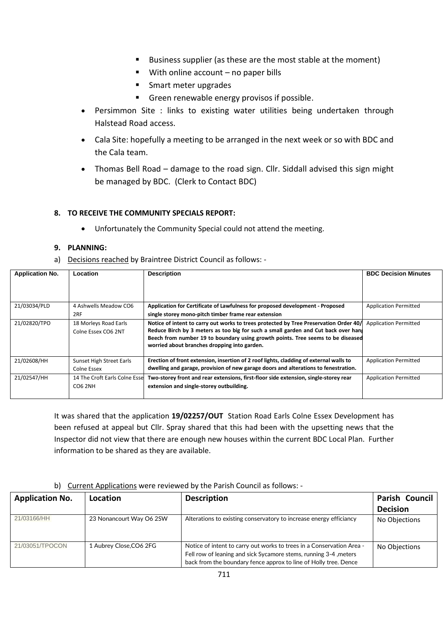- Business supplier (as these are the most stable at the moment)
- With online account no paper bills
- Smart meter upgrades
- Green renewable energy provisos if possible.
- Persimmon Site : links to existing water utilities being undertaken through Halstead Road access.
- Cala Site: hopefully a meeting to be arranged in the next week or so with BDC and the Cala team.
- Thomas Bell Road damage to the road sign. Cllr. Siddall advised this sign might be managed by BDC. (Clerk to Contact BDC)

#### **8. TO RECEIVE THE COMMUNITY SPECIALS REPORT:**

• Unfortunately the Community Special could not attend the meeting.

#### **9. PLANNING:**

a) Decisions reached by Braintree District Council as follows: -

| <b>Application No.</b> | Location                       | <b>Description</b>                                                                                                                                                                                                    | <b>BDC Decision Minutes</b>  |
|------------------------|--------------------------------|-----------------------------------------------------------------------------------------------------------------------------------------------------------------------------------------------------------------------|------------------------------|
|                        |                                |                                                                                                                                                                                                                       |                              |
| 21/03034/PLD           | 4 Ashwells Meadow CO6          | Application for Certificate of Lawfulness for proposed development - Proposed                                                                                                                                         | <b>Application Permitted</b> |
|                        | 2RF                            | single storey mono-pitch timber frame rear extension                                                                                                                                                                  |                              |
| 21/02820/TPO           | 18 Morleys Road Earls          | Notice of intent to carry out works to trees protected by Tree Preservation Order 40/                                                                                                                                 | <b>Application Permitted</b> |
|                        | Colne Essex CO6 2NT            | Reduce Birch by 3 meters as too big for such a small garden and Cut back over hang<br>Beech from number 19 to boundary using growth points. Tree seems to be diseased<br>worried about branches dropping into garden. |                              |
| 21/02608/HH            | Sunset High Street Earls       | Erection of front extension, insertion of 2 roof lights, cladding of external walls to                                                                                                                                | <b>Application Permitted</b> |
|                        | Colne Essex                    | dwelling and garage, provision of new garage doors and alterations to fenestration.                                                                                                                                   |                              |
| 21/02547/HH            | 14 The Croft Earls Colne Essel | Two-storey front and rear extensions, first-floor side extension, single-storey rear                                                                                                                                  | <b>Application Permitted</b> |
|                        | <b>CO6 2NH</b>                 | extension and single-storey outbuilding.                                                                                                                                                                              |                              |

It was shared that the application **19/02257/OUT** Station Road Earls Colne Essex Development has been refused at appeal but Cllr. Spray shared that this had been with the upsetting news that the Inspector did not view that there are enough new houses within the current BDC Local Plan. Further information to be shared as they are available.

#### b) Current Applications were reviewed by the Parish Council as follows: -

| <b>Application No.</b> | Location                 | <b>Description</b>                                                                                                                                                                                            | Parish Council  |
|------------------------|--------------------------|---------------------------------------------------------------------------------------------------------------------------------------------------------------------------------------------------------------|-----------------|
|                        |                          |                                                                                                                                                                                                               | <b>Decision</b> |
| 21/03166/HH            | 23 Nonancourt Way O6 2SW | Alterations to existing conservatory to increase energy efficiancy                                                                                                                                            | No Objections   |
| 21/03051/TPOCON        | 1 Aubrey Close, CO6 2FG  | Notice of intent to carry out works to trees in a Conservation Area -<br>Fell row of leaning and sick Sycamore stems, running 3-4, meters<br>back from the boundary fence approx to line of Holly tree. Dence | No Objections   |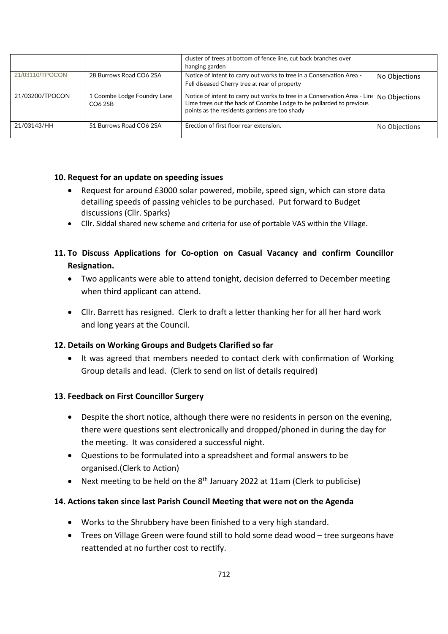|                 |                                                    | cluster of trees at bottom of fence line, cut back branches over                                                                                                                                  |               |
|-----------------|----------------------------------------------------|---------------------------------------------------------------------------------------------------------------------------------------------------------------------------------------------------|---------------|
|                 |                                                    | hanging garden                                                                                                                                                                                    |               |
| 21/03110/TPOCON | 28 Burrows Road CO6 2SA                            | Notice of intent to carry out works to tree in a Conservation Area -<br>Fell diseased Cherry tree at rear of property                                                                             | No Objections |
| 21/03200/TPOCON | 1 Coombe Lodge Foundry Lane<br>CO <sub>6</sub> 2SB | Notice of intent to carry out works to tree in a Conservation Area - Line<br>Lime trees out the back of Coombe Lodge to be pollarded to previous<br>points as the residents gardens are too shady | No Objections |
| 21/03143/HH     | 51 Burrows Road CO6 2SA                            | Erection of first floor rear extension.                                                                                                                                                           | No Objections |

# **10. Request for an update on speeding issues**

- Request for around £3000 solar powered, mobile, speed sign, which can store data detailing speeds of passing vehicles to be purchased. Put forward to Budget discussions (Cllr. Sparks)
- Cllr. Siddal shared new scheme and criteria for use of portable VAS within the Village.

# **11. To Discuss Applications for Co-option on Casual Vacancy and confirm Councillor Resignation.**

- Two applicants were able to attend tonight, decision deferred to December meeting when third applicant can attend.
- Cllr. Barrett has resigned. Clerk to draft a letter thanking her for all her hard work and long years at the Council.

# **12. Details on Working Groups and Budgets Clarified so far**

• It was agreed that members needed to contact clerk with confirmation of Working Group details and lead. (Clerk to send on list of details required)

# **13. Feedback on First Councillor Surgery**

- Despite the short notice, although there were no residents in person on the evening, there were questions sent electronically and dropped/phoned in during the day for the meeting. It was considered a successful night.
- Questions to be formulated into a spreadsheet and formal answers to be organised.(Clerk to Action)
- Next meeting to be held on the 8<sup>th</sup> January 2022 at 11am (Clerk to publicise)

# **14. Actions taken since last Parish Council Meeting that were not on the Agenda**

- Works to the Shrubbery have been finished to a very high standard.
- Trees on Village Green were found still to hold some dead wood tree surgeons have reattended at no further cost to rectify.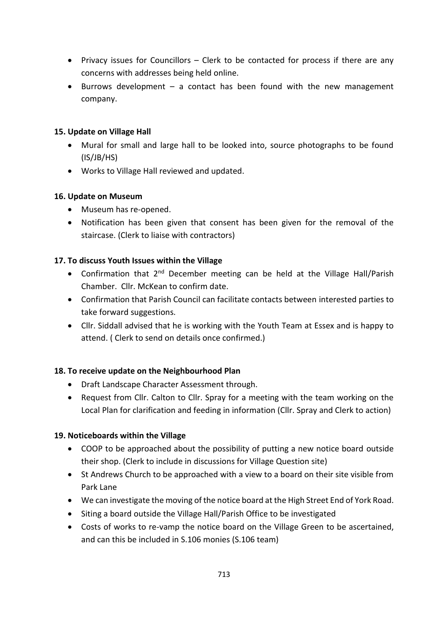- Privacy issues for Councillors Clerk to be contacted for process if there are any concerns with addresses being held online.
- Burrows development a contact has been found with the new management company.

#### **15. Update on Village Hall**

- Mural for small and large hall to be looked into, source photographs to be found (IS/JB/HS)
- Works to Village Hall reviewed and updated.

#### **16. Update on Museum**

- Museum has re-opened.
- Notification has been given that consent has been given for the removal of the staircase. (Clerk to liaise with contractors)

#### **17. To discuss Youth Issues within the Village**

- Confirmation that 2<sup>nd</sup> December meeting can be held at the Village Hall/Parish Chamber. Cllr. McKean to confirm date.
- Confirmation that Parish Council can facilitate contacts between interested parties to take forward suggestions.
- Cllr. Siddall advised that he is working with the Youth Team at Essex and is happy to attend. ( Clerk to send on details once confirmed.)

# **18. To receive update on the Neighbourhood Plan**

- Draft Landscape Character Assessment through.
- Request from Cllr. Calton to Cllr. Spray for a meeting with the team working on the Local Plan for clarification and feeding in information (Cllr. Spray and Clerk to action)

# **19. Noticeboards within the Village**

- COOP to be approached about the possibility of putting a new notice board outside their shop. (Clerk to include in discussions for Village Question site)
- St Andrews Church to be approached with a view to a board on their site visible from Park Lane
- We can investigate the moving of the notice board at the High Street End of York Road.
- Siting a board outside the Village Hall/Parish Office to be investigated
- Costs of works to re-vamp the notice board on the Village Green to be ascertained, and can this be included in S.106 monies (S.106 team)